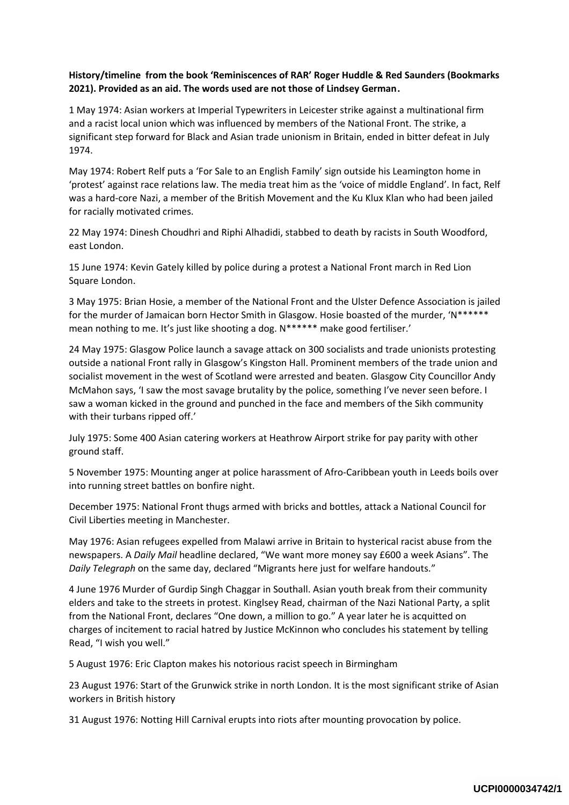## **History/timeline from the book 'Reminiscences of RAR' Roger Huddle & Red Saunders (Bookmarks 2021). Provided as an aid. The words used are not those of Lindsey German.**

1 May 1974: Asian workers at Imperial Typewriters in Leicester strike against a multinational firm and a racist local union which was influenced by members of the National Front. The strike, a significant step forward for Black and Asian trade unionism in Britain, ended in bitter defeat in July 1974.

May 1974: Robert Relf puts a 'For Sale to an English Family' sign outside his Leamington home in 'protest' against race relations law. The media treat him as the 'voice of middle England'. In fact, Relf was a hard-core Nazi, a member of the British Movement and the Ku Klux Klan who had been jailed for racially motivated crimes.

22 May 1974: Dinesh Choudhri and Riphi Alhadidi, stabbed to death by racists in South Woodford, east London.

15 June 1974: Kevin Gately killed by police during a protest a National Front march in Red Lion Square London.

3 May 1975: Brian Hosie, a member of the National Front and the Ulster Defence Association is jailed for the murder of Jamaican born Hector Smith in Glasgow. Hosie boasted of the murder, 'N\*\*\*\*\*\* mean nothing to me. It's just like shooting a dog. N\*\*\*\*\*\* make good fertiliser.'

24 May 1975: Glasgow Police launch a savage attack on 300 socialists and trade unionists protesting outside a national Front rally in Glasgow's Kingston Hall. Prominent members of the trade union and socialist movement in the west of Scotland were arrested and beaten. Glasgow City Councillor Andy McMahon says, 'I saw the most savage brutality by the police, something I've never seen before. I saw a woman kicked in the ground and punched in the face and members of the Sikh community with their turbans ripped off.'

July 1975: Some 400 Asian catering workers at Heathrow Airport strike for pay parity with other ground staff.

5 November 1975: Mounting anger at police harassment of Afro-Caribbean youth in Leeds boils over into running street battles on bonfire night.

December 1975: National Front thugs armed with bricks and bottles, attack a National Council for Civil Liberties meeting in Manchester.

May 1976: Asian refugees expelled from Malawi arrive in Britain to hysterical racist abuse from the newspapers. A *Daily Mail* headline declared, "We want more money say £600 a week Asians". The *Daily Telegraph* on the same day, declared "Migrants here just for welfare handouts."

4 June 1976 Murder of Gurdip Singh Chaggar in Southall. Asian youth break from their community elders and take to the streets in protest. Kinglsey Read, chairman of the Nazi National Party, a split from the National Front, declares "One down, a million to go." A year later he is acquitted on charges of incitement to racial hatred by Justice McKinnon who concludes his statement by telling Read, "I wish you well."

5 August 1976: Eric Clapton makes his notorious racist speech in Birmingham

23 August 1976: Start of the Grunwick strike in north London. It is the most significant strike of Asian workers in British history

31 August 1976: Notting Hill Carnival erupts into riots after mounting provocation by police.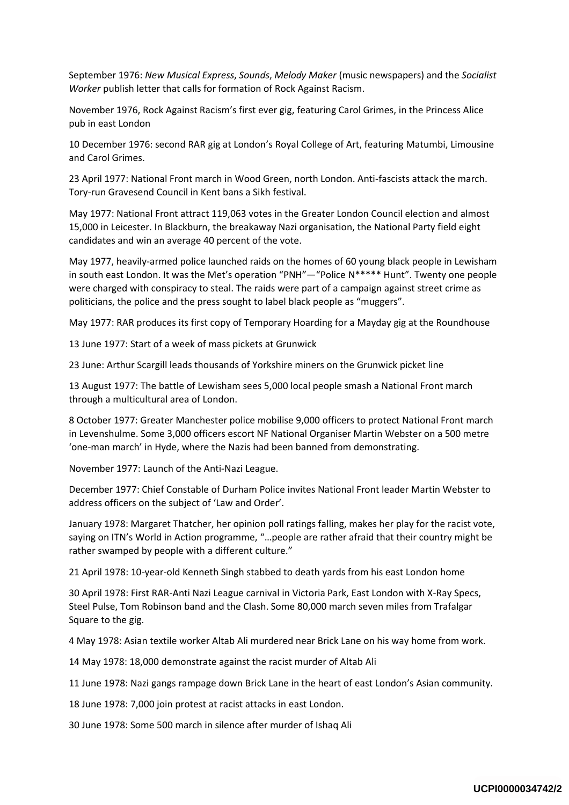September 1976: *New Musical Express*, *Sounds*, *Melody Maker* (music newspapers) and the *Socialist Worker* publish letter that calls for formation of Rock Against Racism.

November 1976, Rock Against Racism's first ever gig, featuring Carol Grimes, in the Princess Alice pub in east London

10 December 1976: second RAR gig at London's Royal College of Art, featuring Matumbi, Limousine and Carol Grimes.

23 April 1977: National Front march in Wood Green, north London. Anti-fascists attack the march. Tory-run Gravesend Council in Kent bans a Sikh festival.

May 1977: National Front attract 119,063 votes in the Greater London Council election and almost 15,000 in Leicester. In Blackburn, the breakaway Nazi organisation, the National Party field eight candidates and win an average 40 percent of the vote.

May 1977, heavily-armed police launched raids on the homes of 60 young black people in Lewisham in south east London. It was the Met's operation "PNH"—"Police N\*\*\*\*\* Hunt". Twenty one people were charged with conspiracy to steal. The raids were part of a campaign against street crime as politicians, the police and the press sought to label black people as "muggers".

May 1977: RAR produces its first copy of Temporary Hoarding for a Mayday gig at the Roundhouse

13 June 1977: Start of a week of mass pickets at Grunwick

23 June: Arthur Scargill leads thousands of Yorkshire miners on the Grunwick picket line

13 August 1977: The battle of Lewisham sees 5,000 local people smash a National Front march through a multicultural area of London.

8 October 1977: Greater Manchester police mobilise 9,000 officers to protect National Front march in Levenshulme. Some 3,000 officers escort NF National Organiser Martin Webster on a 500 metre 'one-man march' in Hyde, where the Nazis had been banned from demonstrating.

November 1977: Launch of the Anti-Nazi League.

December 1977: Chief Constable of Durham Police invites National Front leader Martin Webster to address officers on the subject of 'Law and Order'.

January 1978: Margaret Thatcher, her opinion poll ratings falling, makes her play for the racist vote, saying on ITN's World in Action programme, "…people are rather afraid that their country might be rather swamped by people with a different culture."

21 April 1978: 10-year-old Kenneth Singh stabbed to death yards from his east London home

30 April 1978: First RAR-Anti Nazi League carnival in Victoria Park, East London with X-Ray Specs, Steel Pulse, Tom Robinson band and the Clash. Some 80,000 march seven miles from Trafalgar Square to the gig.

4 May 1978: Asian textile worker Altab Ali murdered near Brick Lane on his way home from work.

14 May 1978: 18,000 demonstrate against the racist murder of Altab Ali

11 June 1978: Nazi gangs rampage down Brick Lane in the heart of east London's Asian community.

18 June 1978: 7,000 join protest at racist attacks in east London.

30 June 1978: Some 500 march in silence after murder of Ishaq Ali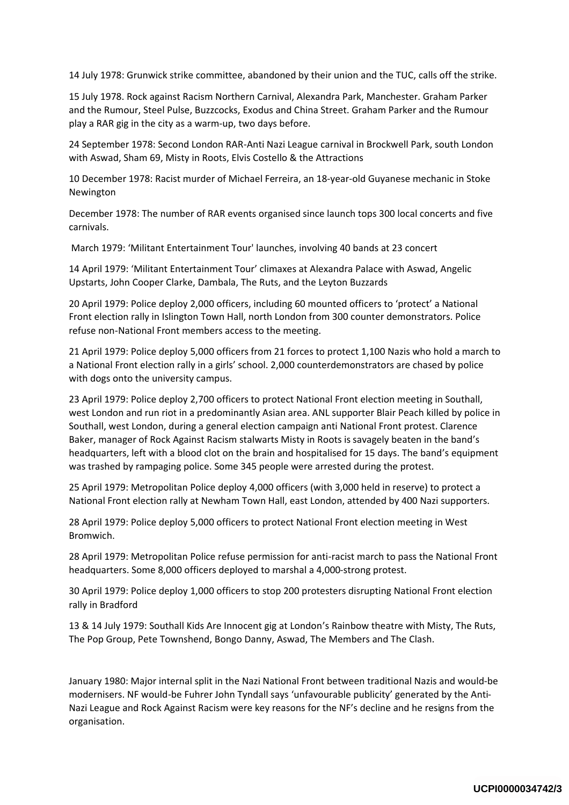14 July 1978: Grunwick strike committee, abandoned by their union and the TUC, calls off the strike.

15 July 1978. Rock against Racism Northern Carnival, Alexandra Park, Manchester. Graham Parker and the Rumour, Steel Pulse, Buzzcocks, Exodus and China Street. Graham Parker and the Rumour play a RAR gig in the city as a warm-up, two days before.

24 September 1978: Second London RAR-Anti Nazi League carnival in Brockwell Park, south London with Aswad, Sham 69, Misty in Roots, Elvis Costello & the Attractions

10 December 1978: Racist murder of Michael Ferreira, an 18-year-old Guyanese mechanic in Stoke Newington

December 1978: The number of RAR events organised since launch tops 300 local concerts and five carnivals.

March 1979: 'Militant Entertainment Tour' launches, involving 40 bands at 23 concert

14 April 1979: 'Militant Entertainment Tour' climaxes at Alexandra Palace with Aswad, Angelic Upstarts, John Cooper Clarke, Dambala, The Ruts, and the Leyton Buzzards

20 April 1979: Police deploy 2,000 officers, including 60 mounted officers to 'protect' a National Front election rally in Islington Town Hall, north London from 300 counter demonstrators. Police refuse non-National Front members access to the meeting.

21 April 1979: Police deploy 5,000 officers from 21 forces to protect 1,100 Nazis who hold a march to a National Front election rally in a girls' school. 2,000 counterdemonstrators are chased by police with dogs onto the university campus.

23 April 1979: Police deploy 2,700 officers to protect National Front election meeting in Southall, west London and run riot in a predominantly Asian area. ANL supporter Blair Peach killed by police in Southall, west London, during a general election campaign anti National Front protest. Clarence Baker, manager of Rock Against Racism stalwarts Misty in Roots is savagely beaten in the band's headquarters, left with a blood clot on the brain and hospitalised for 15 days. The band's equipment was trashed by rampaging police. Some 345 people were arrested during the protest.

25 April 1979: Metropolitan Police deploy 4,000 officers (with 3,000 held in reserve) to protect a National Front election rally at Newham Town Hall, east London, attended by 400 Nazi supporters.

28 April 1979: Police deploy 5,000 officers to protect National Front election meeting in West Bromwich.

28 April 1979: Metropolitan Police refuse permission for anti-racist march to pass the National Front headquarters. Some 8,000 officers deployed to marshal a 4,000-strong protest.

30 April 1979: Police deploy 1,000 officers to stop 200 protesters disrupting National Front election rally in Bradford

13 & 14 July 1979: Southall Kids Are Innocent gig at London's Rainbow theatre with Misty, The Ruts, The Pop Group, Pete Townshend, Bongo Danny, Aswad, The Members and The Clash.

January 1980: Major internal split in the Nazi National Front between traditional Nazis and would-be modernisers. NF would-be Fuhrer John Tyndall says 'unfavourable publicity' generated by the Anti-Nazi League and Rock Against Racism were key reasons for the NF's decline and he resigns from the organisation.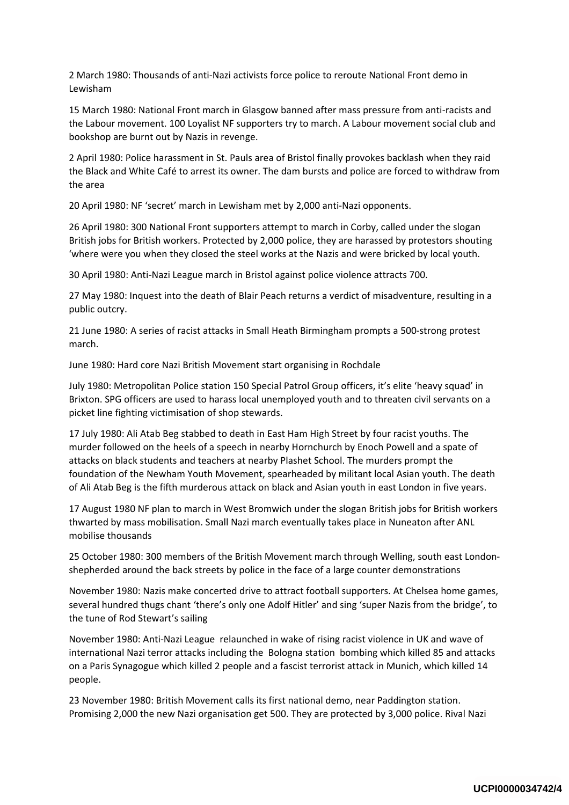2 March 1980: Thousands of anti-Nazi activists force police to reroute National Front demo in Lewisham

15 March 1980: National Front march in Glasgow banned after mass pressure from anti-racists and the Labour movement. 100 Loyalist NF supporters try to march. A Labour movement social club and bookshop are burnt out by Nazis in revenge.

2 April 1980: Police harassment in St. Pauls area of Bristol finally provokes backlash when they raid the Black and White Café to arrest its owner. The dam bursts and police are forced to withdraw from the area

20 April 1980: NF 'secret' march in Lewisham met by 2,000 anti-Nazi opponents.

26 April 1980: 300 National Front supporters attempt to march in Corby, called under the slogan British jobs for British workers. Protected by 2,000 police, they are harassed by protestors shouting 'where were you when they closed the steel works at the Nazis and were bricked by local youth.

30 April 1980: Anti-Nazi League march in Bristol against police violence attracts 700.

27 May 1980: Inquest into the death of Blair Peach returns a verdict of misadventure, resulting in a public outcry.

21 June 1980: A series of racist attacks in Small Heath Birmingham prompts a 500-strong protest march.

June 1980: Hard core Nazi British Movement start organising in Rochdale

July 1980: Metropolitan Police station 150 Special Patrol Group officers, it's elite 'heavy squad' in Brixton. SPG officers are used to harass local unemployed youth and to threaten civil servants on a picket line fighting victimisation of shop stewards.

17 July 1980: Ali Atab Beg stabbed to death in East Ham High Street by four racist youths. The murder followed on the heels of a speech in nearby Hornchurch by Enoch Powell and a spate of attacks on black students and teachers at nearby Plashet School. The murders prompt the foundation of the Newham Youth Movement, spearheaded by militant local Asian youth. The death of Ali Atab Beg is the fifth murderous attack on black and Asian youth in east London in five years.

17 August 1980 NF plan to march in West Bromwich under the slogan British jobs for British workers thwarted by mass mobilisation. Small Nazi march eventually takes place in Nuneaton after ANL mobilise thousands

25 October 1980: 300 members of the British Movement march through Welling, south east Londonshepherded around the back streets by police in the face of a large counter demonstrations

November 1980: Nazis make concerted drive to attract football supporters. At Chelsea home games, several hundred thugs chant 'there's only one Adolf Hitler' and sing 'super Nazis from the bridge', to the tune of Rod Stewart's sailing

November 1980: Anti-Nazi League relaunched in wake of rising racist violence in UK and wave of international Nazi terror attacks including the Bologna station bombing which killed 85 and attacks on a Paris Synagogue which killed 2 people and a fascist terrorist attack in Munich, which killed 14 people.

23 November 1980: British Movement calls its first national demo, near Paddington station. Promising 2,000 the new Nazi organisation get 500. They are protected by 3,000 police. Rival Nazi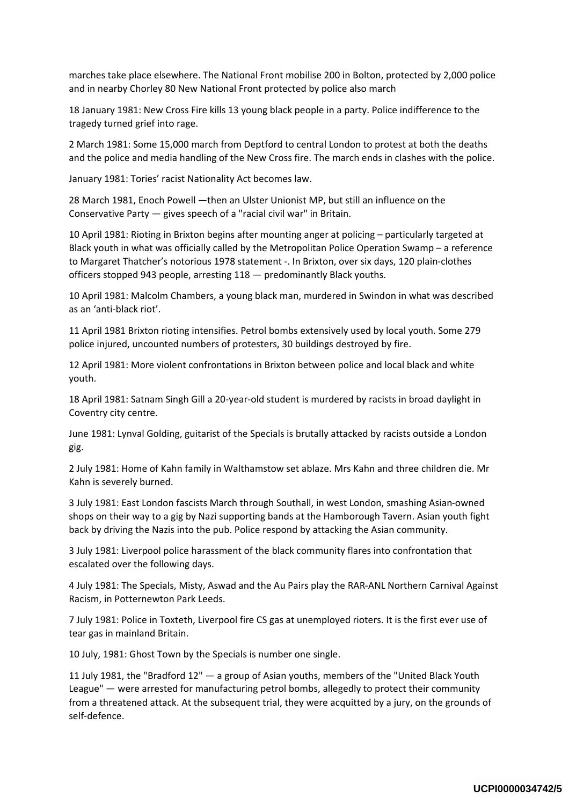marches take place elsewhere. The National Front mobilise 200 in Bolton, protected by 2,000 police and in nearby Chorley 80 New National Front protected by police also march

18 January 1981: New Cross Fire kills 13 young black people in a party. Police indifference to the tragedy turned grief into rage.

2 March 1981: Some 15,000 march from Deptford to central London to protest at both the deaths and the police and media handling of the New Cross fire. The march ends in clashes with the police.

January 1981: Tories' racist Nationality Act becomes law.

28 March 1981, Enoch Powell —then an Ulster Unionist MP, but still an influence on the Conservative Party — gives speech of a "racial civil war" in Britain.

10 April 1981: Rioting in Brixton begins after mounting anger at policing – particularly targeted at Black youth in what was officially called by the Metropolitan Police Operation Swamp – a reference to Margaret Thatcher's notorious 1978 statement -. In Brixton, over six days, 120 plain-clothes officers stopped 943 people, arresting 118 — predominantly Black youths.

10 April 1981: Malcolm Chambers, a young black man, murdered in Swindon in what was described as an 'anti-black riot'.

11 April 1981 Brixton rioting intensifies. Petrol bombs extensively used by local youth. Some 279 police injured, uncounted numbers of protesters, 30 buildings destroyed by fire.

12 April 1981: More violent confrontations in Brixton between police and local black and white youth.

18 April 1981: Satnam Singh Gill a 20-year-old student is murdered by racists in broad daylight in Coventry city centre.

June 1981: Lynval Golding, guitarist of the Specials is brutally attacked by racists outside a London gig.

2 July 1981: Home of Kahn family in Walthamstow set ablaze. Mrs Kahn and three children die. Mr Kahn is severely burned.

3 July 1981: East London fascists March through Southall, in west London, smashing Asian-owned shops on their way to a gig by Nazi supporting bands at the Hamborough Tavern. Asian youth fight back by driving the Nazis into the pub. Police respond by attacking the Asian community.

3 July 1981: Liverpool police harassment of the black community flares into confrontation that escalated over the following days.

4 July 1981: The Specials, Misty, Aswad and the Au Pairs play the RAR-ANL Northern Carnival Against Racism, in Potternewton Park Leeds.

7 July 1981: Police in Toxteth, Liverpool fire CS gas at unemployed rioters. It is the first ever use of tear gas in mainland Britain.

10 July, 1981: Ghost Town by the Specials is number one single.

11 July 1981, the "Bradford 12" — a group of Asian youths, members of the "United Black Youth League" — were arrested for manufacturing petrol bombs, allegedly to protect their community from a threatened attack. At the subsequent trial, they were acquitted by a jury, on the grounds of self-defence.